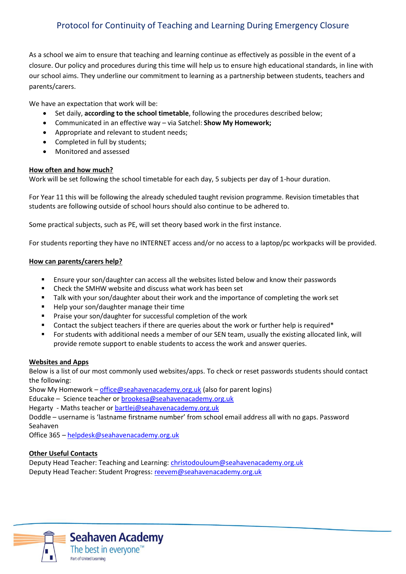# Protocol for Continuity of Teaching and Learning During Emergency Closure

As a school we aim to ensure that teaching and learning continue as effectively as possible in the event of a closure. Our policy and procedures during this time will help us to ensure high educational standards, in line with our school aims. They underline our commitment to learning as a partnership between students, teachers and parents/carers.

We have an expectation that work will be:

- Set daily, **according to the school timetable**, following the procedures described below;
- Communicated in an effective way via Satchel: **Show My Homework;**
- Appropriate and relevant to student needs;
- Completed in full by students;
- Monitored and assessed

## **How often and how much?**

Work will be set following the school timetable for each day, 5 subjects per day of 1-hour duration.

For Year 11 this will be following the already scheduled taught revision programme. Revision timetables that students are following outside of school hours should also continue to be adhered to.

Some practical subjects, such as PE, will set theory based work in the first instance.

For students reporting they have no INTERNET access and/or no access to a laptop/pc workpacks will be provided.

#### **How can parents/carers help?**

- Ensure your son/daughter can access all the websites listed below and know their passwords
- Check the SMHW website and discuss what work has been set
- Talk with your son/daughter about their work and the importance of completing the work set
- Help your son/daughter manage their time
- **Praise your son/daughter for successful completion of the work**
- Contact the subject teachers if there are queries about the work or further help is required\*
- For students with additional needs a member of our SEN team, usually the existing allocated link, will provide remote support to enable students to access the work and answer queries.

#### **Websites and Apps**

Below is a list of our most commonly used websites/apps. To check or reset passwords students should contact the following:

Show My Homework – [office@seahavenacademy.org.uk](mailto:office@seahavenacademy.org.uk) (also for parent logins)

Educake – Science teacher o[r brookesa@seahavenacademy.org.uk](mailto:brookesa@seahavenacademy.org.uk)

Hegarty - Maths teacher or [bartlej@seahavenacademy.org.uk](mailto:bartlej@seahavenacademy.org.uk)

Doddle – username is 'lastname firstname number' from school email address all with no gaps. Password Seahaven

Office 365 – [helpdesk@seahavenacademy.org.uk](mailto:helpdesk@seahavenacademy.org.uk)

## **Other Useful Contacts**

Deputy Head Teacher: Teaching and Learning: [christodouloum@seahavenacademy.org.uk](mailto:christodouloum@seahavenacademy.org.uk) Deputy Head Teacher: Student Progress: [reevem@seahavenacademy.org.uk](mailto:reevem@seahavenacademy.org.uk)